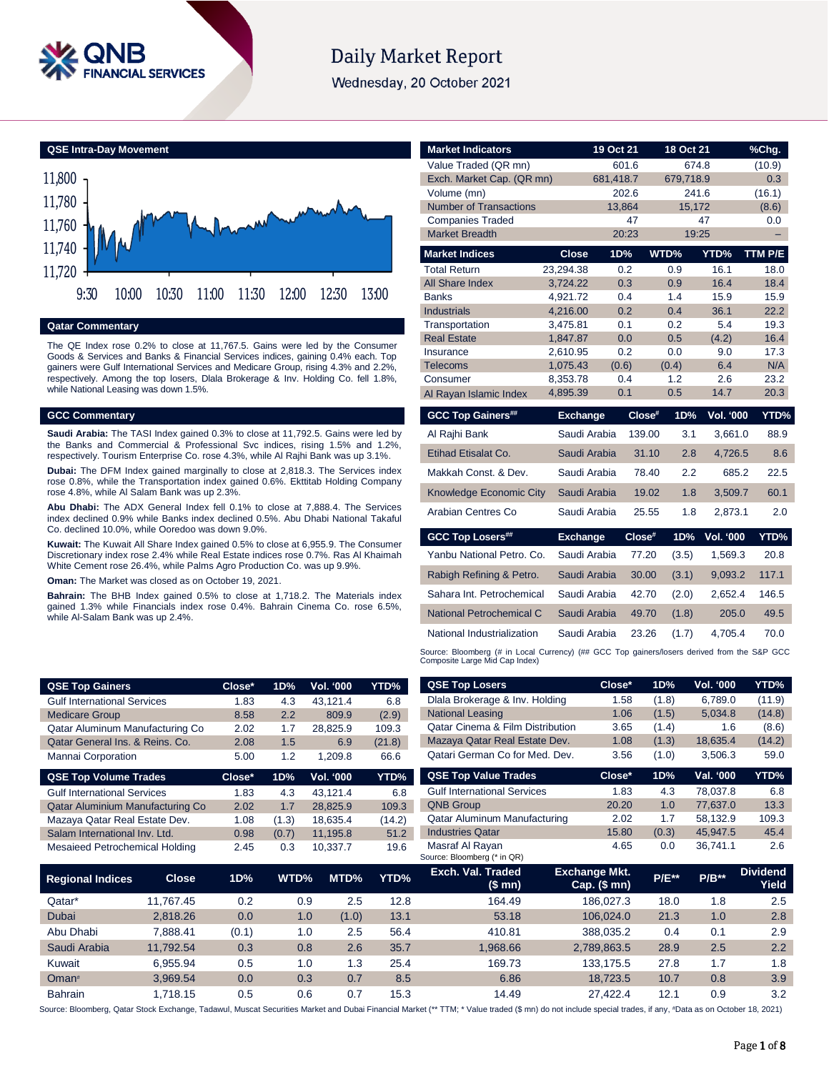

# **Daily Market Report**

Wednesday, 20 October 2021

**QSE Intra-Day Movement**



**Qatar Commentary**

The QE Index rose 0.2% to close at 11,767.5. Gains were led by the Consumer Goods & Services and Banks & Financial Services indices, gaining 0.4% each. Top gainers were Gulf International Services and Medicare Group, rising 4.3% and 2.2%, respectively. Among the top losers, Dlala Brokerage & Inv. Holding Co. fell 1.8%, while National Leasing was down 1.5%.

#### **GCC Commentary**

**Saudi Arabia:** The TASI Index gained 0.3% to close at 11,792.5. Gains were led by the Banks and Commercial & Professional Svc indices, rising 1.5% and 1.2%, respectively. Tourism Enterprise Co. rose 4.3%, while Al Rajhi Bank was up 3.1%.

**Dubai:** The DFM Index gained marginally to close at 2,818.3. The Services index rose 0.8%, while the Transportation index gained 0.6%. Ekttitab Holding Company rose 4.8%, while Al Salam Bank was up 2.3%.

**Abu Dhabi:** The ADX General Index fell 0.1% to close at 7,888.4. The Services index declined 0.9% while Banks index declined 0.5%. Abu Dhabi National Takaful Co. declined 10.0%, while Ooredoo was down 9.0%.

**Kuwait:** The Kuwait All Share Index gained 0.5% to close at 6,955.9. The Consumer Discretionary index rose 2.4% while Real Estate indices rose 0.7%. Ras Al Khaimah White Cement rose 26.4%, while Palms Agro Production Co. was up 9.9%.

**Oman:** The Market was closed as on October 19, 2021.

**Bahrain:** The BHB Index gained 0.5% to close at 1,718.2. The Materials index gained 1.3% while Financials index rose 0.4%. Bahrain Cinema Co. rose 6.5%, while Al-Salam Bank was up 2.4%.

| <b>Market Indicators</b>        |                      | 19 Oct 21 |        | 18 Oct 21    |                  | %Chg.       |
|---------------------------------|----------------------|-----------|--------|--------------|------------------|-------------|
| Value Traded (QR mn)            |                      |           | 601.6  | 674.8        |                  | (10.9)      |
| Exch. Market Cap. (QR mn)       |                      | 681,418.7 |        | 679,718.9    |                  | 0.3         |
| Volume (mn)                     |                      |           | 202.6  | 241.6        |                  | (16.1)      |
| <b>Number of Transactions</b>   |                      |           | 13,864 | 15,172       |                  | (8.6)       |
| <b>Companies Traded</b>         |                      |           | 47     |              | 47               | 0.0         |
| <b>Market Breadth</b>           |                      |           | 20:23  | 19:25        |                  |             |
| <b>Market Indices</b>           | <b>Close</b>         | 1D%       |        | WTD%         | YTD%             | TTM P/E     |
| <b>Total Return</b>             | 23,294.38            |           | 0.2    | 0.9          | 16.1             | 18.0        |
| <b>All Share Index</b>          | 3,724.22             |           | 0.3    | 0.9          | 16.4             | 18.4        |
| <b>Banks</b>                    | 4,921.72             |           | 0.4    | 1.4          | 15.9             | 15.9        |
| <b>Industrials</b>              | 4,216.00             |           | 0.2    | 0.4          | 36.1             | 22.2        |
| Transportation                  | 3,475.81             |           | 0.1    | 0.2          | 5.4              | 19.3        |
| <b>Real Estate</b>              | 1,847.87             |           | 0.0    | 0.5          | (4.2)            | 16.4        |
| Insurance                       | 2,610.95             |           | 0.2    | 0.0          | 9.0              | 17.3        |
| <b>Telecoms</b><br>Consumer     | 1,075.43<br>8,353.78 | (0.6)     | 0.4    | (0.4)<br>1.2 | 6.4<br>2.6       | N/A<br>23.2 |
| Al Rayan Islamic Index          | 4,895.39             |           | 0.1    | 0.5          | 14.7             | 20.3        |
|                                 |                      |           |        |              |                  |             |
| <b>GCC Top Gainers##</b>        | <b>Exchange</b>      |           | Close# | 1D%          | <b>Vol. '000</b> | YTD%        |
| Al Rajhi Bank                   | Saudi Arabia         |           | 139.00 | 3.1          | 3,661.0          | 88.9        |
| Etihad Etisalat Co.             | Saudi Arabia         |           | 31.10  | 2.8          | 4,726.5          | 8.6         |
| Makkah Const. & Dev.            | Saudi Arabia         |           | 78.40  | 2.2          | 685.2            | 22.5        |
| Knowledge Economic City         | Saudi Arabia         |           | 19.02  | 1.8          | 3,509.7          | 60.1        |
| Arabian Centres Co              | Saudi Arabia         |           | 25.55  | 1.8          | 2,873.1          | 2.0         |
| <b>GCC Top Losers##</b>         | <b>Exchange</b>      |           | Close# | 1D%          | <b>Vol. '000</b> | YTD%        |
| Yanbu National Petro, Co.       | Saudi Arabia         |           | 77.20  | (3.5)        | 1,569.3          | 20.8        |
| Rabigh Refining & Petro.        | Saudi Arabia         |           | 30.00  | (3.1)        | 9,093.2          | 117.1       |
| Sahara Int. Petrochemical       | Saudi Arabia         |           | 42.70  | (2.0)        | 2,652.4          | 146.5       |
| <b>National Petrochemical C</b> | Saudi Arabia         |           | 49.70  | (1.8)        | 205.0            | 49.5        |
| National Industrialization      | Saudi Arabia         |           | 23.26  | (1.7)        | 4,705.4          | 70.0        |
|                                 |                      |           |        |              |                  |             |

Source: Bloomberg (# in Local Currency) (## GCC Top gainers/losers derived from the S&P GCC Composite Large Mid Cap Index)

| <b>QSE Top Gainers</b>             |              | Close* | 1D%   | <b>Vol. '000</b> | YTD%   | <b>QSE Top Losers</b>                          | Close*                                   | 1D%     | <b>Vol. '000</b> | YTD%                     |
|------------------------------------|--------------|--------|-------|------------------|--------|------------------------------------------------|------------------------------------------|---------|------------------|--------------------------|
| <b>Gulf International Services</b> |              | 1.83   | 4.3   | 43.121.4         | 6.8    | Dlala Brokerage & Inv. Holding                 | 1.58                                     | (1.8)   | 6,789.0          | (11.9)                   |
| <b>Medicare Group</b>              |              | 8.58   | 2.2   | 809.9            | (2.9)  | <b>National Leasing</b>                        | 1.06                                     | (1.5)   | 5,034.8          | (14.8)                   |
| Qatar Aluminum Manufacturing Co    |              | 2.02   | 1.7   | 28,825.9         | 109.3  | <b>Qatar Cinema &amp; Film Distribution</b>    | 3.65                                     | (1.4)   | 1.6              | (8.6)                    |
| Qatar General Ins. & Reins. Co.    |              | 2.08   | 1.5   | 6.9              | (21.8) | Mazaya Qatar Real Estate Dev.                  | 1.08                                     | (1.3)   | 18,635.4         | (14.2)                   |
| Mannai Corporation                 |              | 5.00   | 1.2   | 1,209.8          | 66.6   | Qatari German Co for Med. Dev.                 | 3.56                                     | (1.0)   | 3,506.3          | 59.0                     |
| <b>QSE Top Volume Trades</b>       |              | Close* | 1D%   | <b>Vol. '000</b> | YTD%   | <b>QSE Top Value Trades</b>                    | Close*                                   | 1D%     | Val. '000        | YTD%                     |
| <b>Gulf International Services</b> |              | 1.83   | 4.3   | 43.121.4         | 6.8    | <b>Gulf International Services</b>             | 1.83                                     | 4.3     | 78.037.8         | 6.8                      |
| Qatar Aluminium Manufacturing Co   |              | 2.02   | 1.7   | 28,825.9         | 109.3  | <b>QNB Group</b>                               | 20.20                                    | 1.0     | 77,637.0         | 13.3                     |
| Mazaya Qatar Real Estate Dev.      |              | 1.08   | (1.3) | 18,635.4         | (14.2) | <b>Qatar Aluminum Manufacturing</b>            | 2.02                                     | 1.7     | 58,132.9         | 109.3                    |
| Salam International Inv. Ltd.      |              | 0.98   | (0.7) | 11.195.8         | 51.2   | <b>Industries Qatar</b>                        | 15.80                                    | (0.3)   | 45,947.5         | 45.4                     |
| Mesaieed Petrochemical Holding     |              | 2.45   | 0.3   | 10.337.7         | 19.6   | Masraf Al Rayan<br>Source: Bloomberg (* in QR) | 4.65                                     | 0.0     | 36.741.1         | 2.6                      |
| <b>Regional Indices</b>            | <b>Close</b> | 1D%    | WTD%  | MTD%             | YTD%   | Exch. Val. Traded<br>$(S \text{ mn})$          | <b>Exchange Mkt.</b><br>Cap. $($$ mn $)$ | $P/E**$ | $P/B**$          | <b>Dividend</b><br>Yield |
| Qatar*                             | 11.767.45    | 0.2    |       | 2.5<br>0.9       | 12.8   | 164.49                                         | 186.027.3                                | 18.0    | 1.8              | 2.5                      |

| <b>QSE Top Gainers</b>             |              | Close* | 1D%   | Vol. '000        | YTD%   | <b>QSE Top Losers</b>                                                                                                                                                                                              | Close*                                   | 1D%      | Vol. '000 | YTD%                            |
|------------------------------------|--------------|--------|-------|------------------|--------|--------------------------------------------------------------------------------------------------------------------------------------------------------------------------------------------------------------------|------------------------------------------|----------|-----------|---------------------------------|
| <b>Gulf International Services</b> |              | 1.83   | 4.3   | 43,121.4         | 6.8    | Dlala Brokerage & Inv. Holding                                                                                                                                                                                     | 1.58                                     | (1.8)    | 6,789.0   | (11.9)                          |
| <b>Medicare Group</b>              |              | 8.58   | 2.2   | 809.9            | (2.9)  | <b>National Leasing</b>                                                                                                                                                                                            | 1.06                                     | (1.5)    | 5,034.8   | (14.8)                          |
| Qatar Aluminum Manufacturing Co    |              | 2.02   | 1.7   | 28,825.9         | 109.3  | <b>Qatar Cinema &amp; Film Distribution</b>                                                                                                                                                                        | 3.65                                     | (1.4)    | 1.6       | (8.6)                           |
| Qatar General Ins. & Reins. Co.    |              | 2.08   | 1.5   | 6.9              | (21.8) | Mazaya Qatar Real Estate Dev.                                                                                                                                                                                      | 1.08                                     | (1.3)    | 18,635.4  | (14.2)                          |
| Mannai Corporation                 |              | 5.00   | 1.2   | 1,209.8          | 66.6   | Qatari German Co for Med. Dev.                                                                                                                                                                                     | 3.56                                     | (1.0)    | 3,506.3   | 59.0                            |
| <b>QSE Top Volume Trades</b>       |              | Close* | 1D%   | <b>Vol. '000</b> | YTD%   | <b>QSE Top Value Trades</b>                                                                                                                                                                                        | Close*                                   | 1D%      | Val. '000 | YTD%                            |
| <b>Gulf International Services</b> |              | 1.83   | 4.3   | 43,121.4         | 6.8    | <b>Gulf International Services</b>                                                                                                                                                                                 | 1.83                                     | 4.3      | 78,037.8  | 6.8                             |
| Qatar Aluminium Manufacturing Co   |              | 2.02   | 1.7   | 28,825.9         | 109.3  | <b>QNB Group</b>                                                                                                                                                                                                   | 20.20                                    | 1.0      | 77,637.0  | 13.3                            |
| Mazaya Qatar Real Estate Dev.      |              | 1.08   | (1.3) | 18,635.4         | (14.2) | Qatar Aluminum Manufacturing                                                                                                                                                                                       | 2.02                                     | 1.7      | 58,132.9  | 109.3                           |
| Salam International Inv. Ltd.      |              | 0.98   | (0.7) | 11,195.8         | 51.2   | <b>Industries Qatar</b>                                                                                                                                                                                            | 15.80                                    | (0.3)    | 45,947.5  | 45.4                            |
| Mesaieed Petrochemical Holding     |              | 2.45   | 0.3   | 10,337.7         | 19.6   | Masraf Al Rayan<br>Source: Bloomberg (* in QR)                                                                                                                                                                     | 4.65                                     | 0.0      | 36,741.1  | 2.6                             |
| <b>Regional Indices</b>            | <b>Close</b> | 1D%    | WTD%  | MTD%             | YTD%   | Exch. Val. Traded<br>(\$mn)                                                                                                                                                                                        | <b>Exchange Mkt.</b><br>Cap. $($$ mn $)$ | $P/E***$ | $P/B**$   | <b>Dividend</b><br><b>Yield</b> |
| Qatar*                             | 11,767.45    | 0.2    |       | 0.9<br>2.5       | 12.8   | 164.49                                                                                                                                                                                                             | 186,027.3                                | 18.0     | 1.8       | 2.5                             |
| Dubai                              | 2,818.26     | 0.0    |       | 1.0<br>(1.0)     | 13.1   | 53.18                                                                                                                                                                                                              | 106,024.0                                | 21.3     | 1.0       | 2.8                             |
| Abu Dhabi                          | 7,888.41     | (0.1)  |       | 1.0<br>2.5       | 56.4   | 410.81                                                                                                                                                                                                             | 388,035.2                                | 0.4      | 0.1       | 2.9                             |
| Saudi Arabia                       | 11,792.54    | 0.3    |       | 0.8<br>2.6       | 35.7   | 1,968.66                                                                                                                                                                                                           | 2,789,863.5                              | 28.9     | 2.5       | 2.2                             |
| Kuwait                             | 6,955.94     | 0.5    |       | 1.3<br>1.0       | 25.4   | 169.73                                                                                                                                                                                                             | 133,175.5                                | 27.8     | 1.7       | 1.8                             |
| Oman <sup>#</sup>                  | 3,969.54     | 0.0    |       | 0.3<br>0.7       | 8.5    | 6.86                                                                                                                                                                                                               | 18,723.5                                 | 10.7     | 0.8       | 3.9                             |
| Bahrain                            | 1,718.15     | 0.5    |       | 0.6<br>0.7       | 15.3   | 14.49                                                                                                                                                                                                              | 27,422.4                                 | 12.1     | 0.9       | 3.2                             |
|                                    |              |        |       |                  |        | iiusa, Disambaya, Ostor Ptoeli Eiipbonas, Todoiiul, Migaet Psainitias Market pad Dirbot Eisanatal Market (# TTM, * Value traded /@ ma) do not beglied include analat trades. If oni, "Pato as an Ostobar 40, 2024) |                                          |          |           |                                 |

Source: Bloomberg, Qatar Stock Exchange, Tadawul, Muscat Securities Market and Dubai Financial Mark #Data as on October 18, 2021)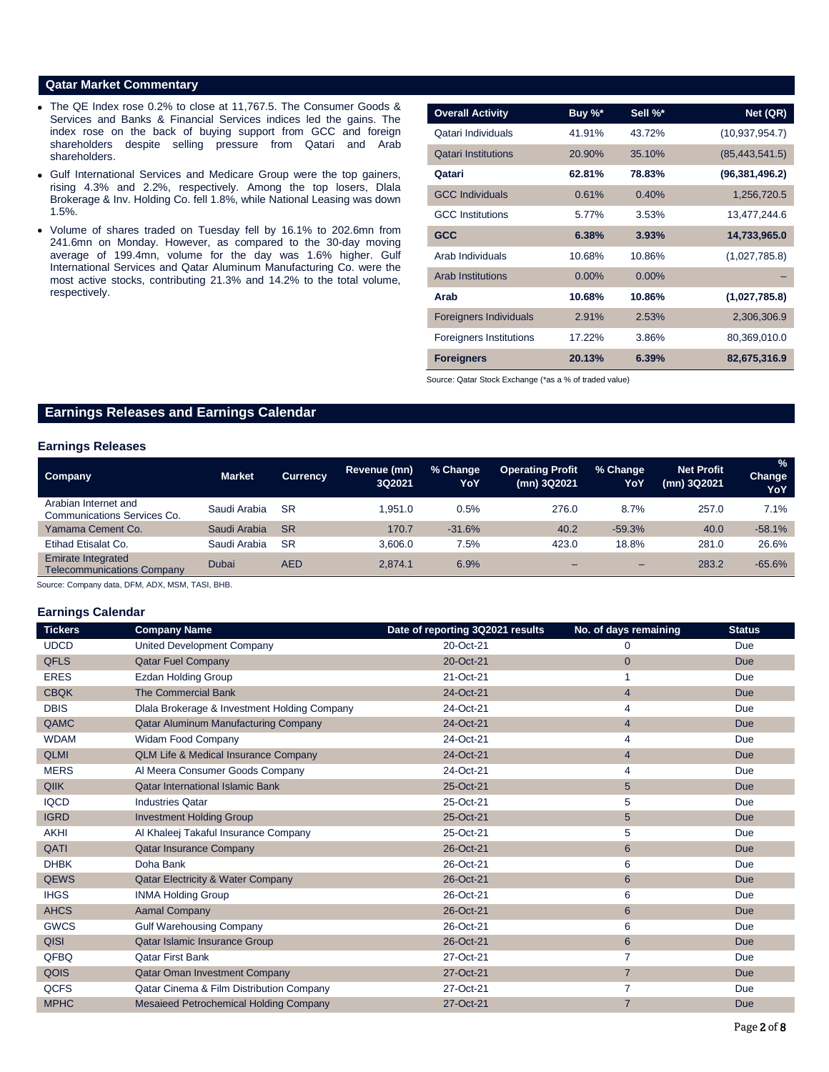#### **Qatar Market Commentary**

- The QE Index rose 0.2% to close at 11,767.5. The Consumer Goods & Services and Banks & Financial Services indices led the gains. The index rose on the back of buying support from GCC and foreign shareholders despite selling pressure from Qatari and Arab shareholders.
- Gulf International Services and Medicare Group were the top gainers, rising 4.3% and 2.2%, respectively. Among the top losers, Dlala Brokerage & Inv. Holding Co. fell 1.8%, while National Leasing was down 1.5%.
- Volume of shares traded on Tuesday fell by 16.1% to 202.6mn from 241.6mn on Monday. However, as compared to the 30-day moving average of 199.4mn, volume for the day was 1.6% higher. Gulf International Services and Qatar Aluminum Manufacturing Co. were the most active stocks, contributing 21.3% and 14.2% to the total volume, respectively.

| <b>Overall Activity</b>        | Buy %*   | Sell %* | Net (QR)         |
|--------------------------------|----------|---------|------------------|
| Qatari Individuals             | 41.91%   | 43.72%  | (10, 937, 954.7) |
| <b>Oatari Institutions</b>     | 20.90%   | 35.10%  | (85, 443, 541.5) |
| Qatari                         | 62.81%   | 78.83%  | (96, 381, 496.2) |
| <b>GCC Individuals</b>         | 0.61%    | 0.40%   | 1,256,720.5      |
| <b>GCC</b> Institutions        | 5.77%    | 3.53%   | 13,477,244.6     |
| <b>GCC</b>                     | 6.38%    | 3.93%   | 14,733,965.0     |
| Arab Individuals               | 10.68%   | 10.86%  | (1,027,785.8)    |
| <b>Arab Institutions</b>       | $0.00\%$ | 0.00%   |                  |
| Arab                           | 10.68%   | 10.86%  | (1,027,785.8)    |
| <b>Foreigners Individuals</b>  | 2.91%    | 2.53%   | 2,306,306.9      |
| <b>Foreigners Institutions</b> | 17.22%   | 3.86%   | 80,369,010.0     |
| <b>Foreigners</b>              | 20.13%   | 6.39%   | 82,675,316.9     |

Source: Qatar Stock Exchange (\*as a % of traded value)

## **Earnings Releases and Earnings Calendar**

### **Earnings Releases**

| Company                                                        | <b>Market</b> | <b>Currency</b> | Revenue (mn)<br>3Q2021 | % Change<br>YoY | <b>Operating Profit</b><br>(mn) 3Q2021 | % Change<br>YoY          | <b>Net Profit</b><br>(mn) 3Q2021 | $\%$<br>Change<br>YoY |
|----------------------------------------------------------------|---------------|-----------------|------------------------|-----------------|----------------------------------------|--------------------------|----------------------------------|-----------------------|
| Arabian Internet and<br>Communications Services Co.            | Saudi Arabia  | <b>SR</b>       | 1.951.0                | 0.5%            | 276.0                                  | 8.7%                     | 257.0                            | 7.1%                  |
| Yamama Cement Co.                                              | Saudi Arabia  | <b>SR</b>       | 170.7                  | $-31.6%$        | 40.2                                   | $-59.3%$                 | 40.0                             | $-58.1%$              |
| Etihad Etisalat Co.                                            | Saudi Arabia  | <b>SR</b>       | 3.606.0                | 7.5%            | 423.0                                  | 18.8%                    | 281.0                            | 26.6%                 |
| <b>Emirate Integrated</b><br><b>Telecommunications Company</b> | Dubai         | <b>AED</b>      | 2.874.1                | 6.9%            | _                                      | $\overline{\phantom{0}}$ | 283.2                            | $-65.6%$              |

Source: Company data, DFM, ADX, MSM, TASI, BHB.

### **Earnings Calendar**

| <b>Tickers</b> | <b>Company Name</b>                                 | Date of reporting 3Q2021 results | No. of days remaining | <b>Status</b> |
|----------------|-----------------------------------------------------|----------------------------------|-----------------------|---------------|
| <b>UDCD</b>    | United Development Company                          | 20-Oct-21                        | 0                     | Due           |
| <b>QFLS</b>    | <b>Qatar Fuel Company</b>                           | 20-Oct-21                        | $\mathbf{0}$          | <b>Due</b>    |
| <b>ERES</b>    | <b>Ezdan Holding Group</b>                          | 21-Oct-21                        |                       | Due           |
| <b>CBQK</b>    | <b>The Commercial Bank</b>                          | 24-Oct-21                        | $\overline{4}$        | <b>Due</b>    |
| <b>DBIS</b>    | Dlala Brokerage & Investment Holding Company        | 24-Oct-21                        | $\overline{4}$        | Due           |
| QAMC           | Qatar Aluminum Manufacturing Company                | 24-Oct-21                        | $\overline{4}$        | Due           |
| <b>WDAM</b>    | <b>Widam Food Company</b>                           | 24-Oct-21                        | 4                     | Due           |
| <b>QLMI</b>    | <b>QLM Life &amp; Medical Insurance Company</b>     | 24-Oct-21                        | $\overline{4}$        | <b>Due</b>    |
| <b>MERS</b>    | Al Meera Consumer Goods Company                     | 24-Oct-21                        | 4                     | Due           |
| <b>QIIK</b>    | <b>Qatar International Islamic Bank</b>             | 25-Oct-21                        | $\sqrt{5}$            | <b>Due</b>    |
| <b>IQCD</b>    | <b>Industries Qatar</b>                             | 25-Oct-21                        | 5                     | Due           |
| <b>IGRD</b>    | <b>Investment Holding Group</b>                     | 25-Oct-21                        | 5                     | <b>Due</b>    |
| <b>AKHI</b>    | Al Khaleej Takaful Insurance Company                | 25-Oct-21                        | 5                     | Due           |
| QATI           | <b>Qatar Insurance Company</b>                      | 26-Oct-21                        | $\boldsymbol{6}$      | <b>Due</b>    |
| <b>DHBK</b>    | Doha Bank                                           | 26-Oct-21                        | 6                     | Due           |
| <b>QEWS</b>    | Qatar Electricity & Water Company                   | 26-Oct-21                        | $6\phantom{1}6$       | Due           |
| <b>IHGS</b>    | <b>INMA Holding Group</b>                           | 26-Oct-21                        | 6                     | Due           |
| <b>AHCS</b>    | <b>Aamal Company</b>                                | 26-Oct-21                        | $6\phantom{1}$        | <b>Due</b>    |
| <b>GWCS</b>    | <b>Gulf Warehousing Company</b>                     | 26-Oct-21                        | 6                     | Due           |
| <b>QISI</b>    | Qatar Islamic Insurance Group                       | 26-Oct-21                        | $6\phantom{1}$        | <b>Due</b>    |
| QFBQ           | <b>Qatar First Bank</b>                             | 27-Oct-21                        | $\overline{7}$        | Due           |
| QOIS           | <b>Qatar Oman Investment Company</b>                | 27-Oct-21                        | $\overline{7}$        | <b>Due</b>    |
| <b>QCFS</b>    | <b>Qatar Cinema &amp; Film Distribution Company</b> | 27-Oct-21                        | $\overline{7}$        | Due           |
| <b>MPHC</b>    | Mesaieed Petrochemical Holding Company              | 27-Oct-21                        | $\overline{7}$        | <b>Due</b>    |
|                |                                                     |                                  |                       |               |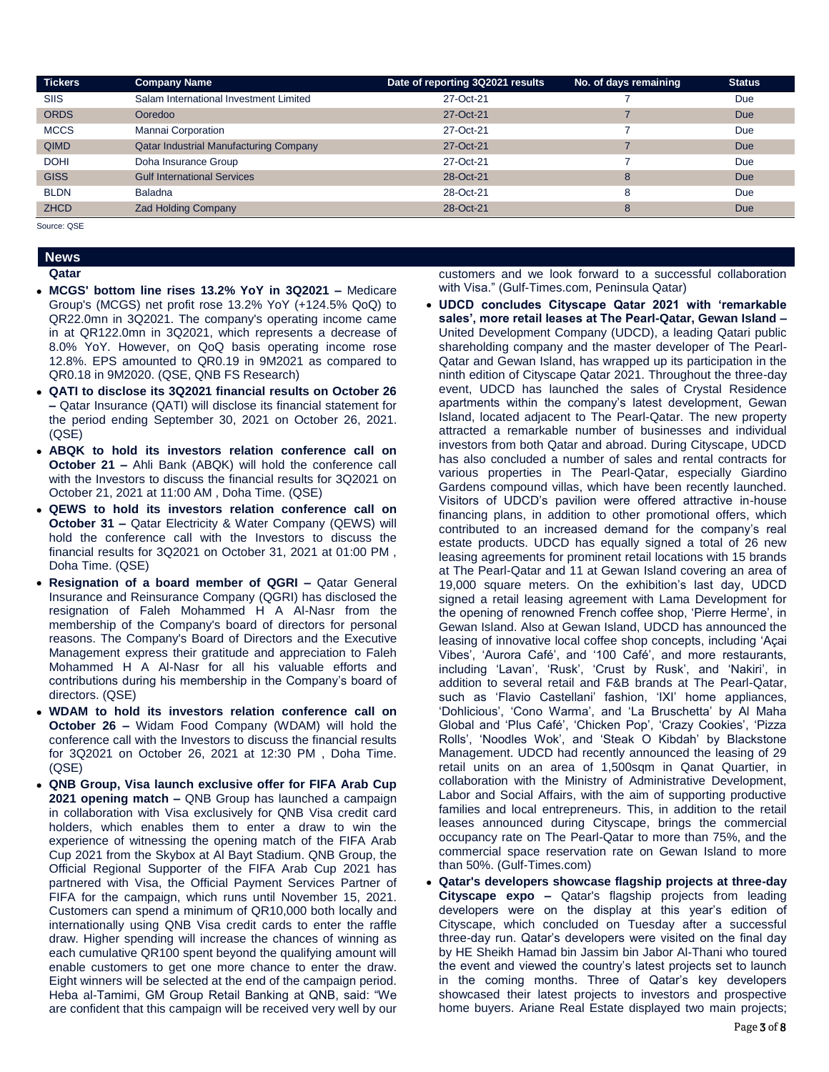| <b>Tickers</b> | <b>Company Name</b>                           | Date of reporting 3Q2021 results | No. of days remaining | <b>Status</b> |
|----------------|-----------------------------------------------|----------------------------------|-----------------------|---------------|
| <b>SIIS</b>    | Salam International Investment Limited        | 27-Oct-21                        |                       | Due           |
| <b>ORDS</b>    | Ooredoo                                       | 27-Oct-21                        |                       | <b>Due</b>    |
| <b>MCCS</b>    | Mannai Corporation                            | 27-Oct-21                        |                       | Due           |
| <b>QIMD</b>    | <b>Qatar Industrial Manufacturing Company</b> | 27-Oct-21                        |                       | <b>Due</b>    |
| <b>DOHI</b>    | Doha Insurance Group                          | 27-Oct-21                        |                       | Due           |
| <b>GISS</b>    | <b>Gulf International Services</b>            | 28-Oct-21                        | 8                     | <b>Due</b>    |
| <b>BLDN</b>    | <b>Baladna</b>                                | 28-Oct-21                        | 8                     | Due           |
| <b>ZHCD</b>    | <b>Zad Holding Company</b>                    | 28-Oct-21                        | 8                     | <b>Due</b>    |

Source: QSE

#### **News Qatar**

- 
- **MCGS' bottom line rises 13.2% YoY in 3Q2021 –** Medicare Group's (MCGS) net profit rose 13.2% YoY (+124.5% QoQ) to QR22.0mn in 3Q2021. The company's operating income came in at QR122.0mn in 3Q2021, which represents a decrease of 8.0% YoY. However, on QoQ basis operating income rose 12.8%. EPS amounted to QR0.19 in 9M2021 as compared to QR0.18 in 9M2020. (QSE, QNB FS Research)
- **QATI to disclose its 3Q2021 financial results on October 26 –** Qatar Insurance (QATI) will disclose its financial statement for the period ending September 30, 2021 on October 26, 2021. (QSE)
- **ABQK to hold its investors relation conference call on October 21 –** Ahli Bank (ABQK) will hold the conference call with the Investors to discuss the financial results for 3Q2021 on October 21, 2021 at 11:00 AM , Doha Time. (QSE)
- **QEWS to hold its investors relation conference call on October 31 –** Qatar Electricity & Water Company (QEWS) will hold the conference call with the Investors to discuss the financial results for 3Q2021 on October 31, 2021 at 01:00 PM , Doha Time. (QSE)
- **Resignation of a board member of QGRI –** Qatar General Insurance and Reinsurance Company (QGRI) has disclosed the resignation of Faleh Mohammed H A Al-Nasr from the membership of the Company's board of directors for personal reasons. The Company's Board of Directors and the Executive Management express their gratitude and appreciation to Faleh Mohammed H A Al-Nasr for all his valuable efforts and contributions during his membership in the Company's board of directors. (QSE)
- **WDAM to hold its investors relation conference call on October 26 –** Widam Food Company (WDAM) will hold the conference call with the Investors to discuss the financial results for 3Q2021 on October 26, 2021 at 12:30 PM , Doha Time. (QSE)
- **QNB Group, Visa launch exclusive offer for FIFA Arab Cup 2021 opening match –** QNB Group has launched a campaign in collaboration with Visa exclusively for QNB Visa credit card holders, which enables them to enter a draw to win the experience of witnessing the opening match of the FIFA Arab Cup 2021 from the Skybox at Al Bayt Stadium. QNB Group, the Official Regional Supporter of the FIFA Arab Cup 2021 has partnered with Visa, the Official Payment Services Partner of FIFA for the campaign, which runs until November 15, 2021. Customers can spend a minimum of QR10,000 both locally and internationally using QNB Visa credit cards to enter the raffle draw. Higher spending will increase the chances of winning as each cumulative QR100 spent beyond the qualifying amount will enable customers to get one more chance to enter the draw. Eight winners will be selected at the end of the campaign period. Heba al-Tamimi, GM Group Retail Banking at QNB, said: "We are confident that this campaign will be received very well by our

customers and we look forward to a successful collaboration with Visa." (Gulf-Times.com, Peninsula Qatar)

- **UDCD concludes Cityscape Qatar 2021 with 'remarkable sales', more retail leases at The Pearl-Qatar, Gewan Island –** United Development Company (UDCD), a leading Qatari public shareholding company and the master developer of The Pearl-Qatar and Gewan Island, has wrapped up its participation in the ninth edition of Cityscape Qatar 2021. Throughout the three-day event, UDCD has launched the sales of Crystal Residence apartments within the company's latest development, Gewan Island, located adjacent to The Pearl-Qatar. The new property attracted a remarkable number of businesses and individual investors from both Qatar and abroad. During Cityscape, UDCD has also concluded a number of sales and rental contracts for various properties in The Pearl-Qatar, especially Giardino Gardens compound villas, which have been recently launched. Visitors of UDCD's pavilion were offered attractive in-house financing plans, in addition to other promotional offers, which contributed to an increased demand for the company's real estate products. UDCD has equally signed a total of 26 new leasing agreements for prominent retail locations with 15 brands at The Pearl-Qatar and 11 at Gewan Island covering an area of 19,000 square meters. On the exhibition's last day, UDCD signed a retail leasing agreement with Lama Development for the opening of renowned French coffee shop, 'Pierre Herme', in Gewan Island. Also at Gewan Island, UDCD has announced the leasing of innovative local coffee shop concepts, including 'Açai Vibes', 'Aurora Café', and '100 Café', and more restaurants, including 'Lavan', 'Rusk', 'Crust by Rusk', and 'Nakiri', in addition to several retail and F&B brands at The Pearl-Qatar, such as 'Flavio Castellani' fashion, 'IXI' home appliances, 'Dohlicious', 'Cono Warma', and 'La Bruschetta' by Al Maha Global and 'Plus Café', 'Chicken Pop', 'Crazy Cookies', 'Pizza Rolls', 'Noodles Wok', and 'Steak O Kibdah' by Blackstone Management. UDCD had recently announced the leasing of 29 retail units on an area of 1,500sqm in Qanat Quartier, in collaboration with the Ministry of Administrative Development, Labor and Social Affairs, with the aim of supporting productive families and local entrepreneurs. This, in addition to the retail leases announced during Cityscape, brings the commercial occupancy rate on The Pearl-Qatar to more than 75%, and the commercial space reservation rate on Gewan Island to more than 50%. (Gulf-Times.com)
- **Qatar's developers showcase flagship projects at three-day Cityscape expo –** Qatar's flagship projects from leading developers were on the display at this year's edition of Cityscape, which concluded on Tuesday after a successful three-day run. Qatar's developers were visited on the final day by HE Sheikh Hamad bin Jassim bin Jabor Al-Thani who toured the event and viewed the country's latest projects set to launch in the coming months. Three of Qatar's key developers showcased their latest projects to investors and prospective home buyers. Ariane Real Estate displayed two main projects;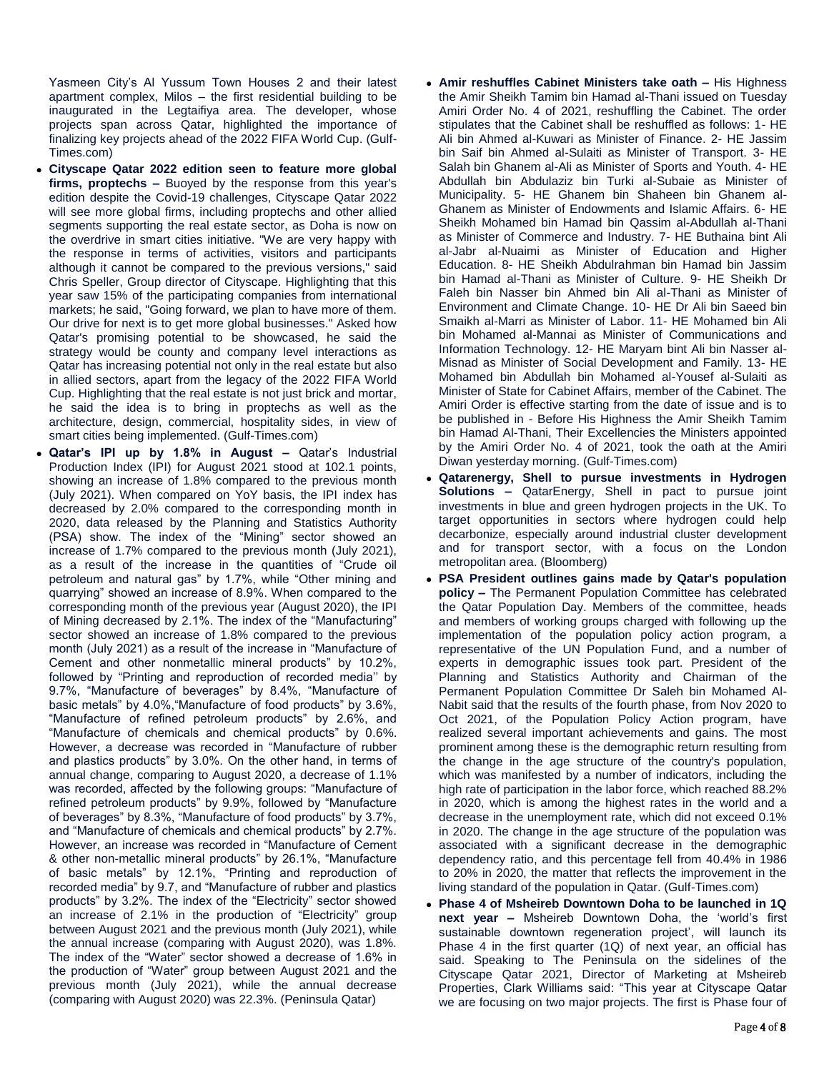Yasmeen City's Al Yussum Town Houses 2 and their latest apartment complex, Milos – the first residential building to be inaugurated in the Legtaifiya area. The developer, whose projects span across Qatar, highlighted the importance of finalizing key projects ahead of the 2022 FIFA World Cup. (Gulf-Times.com)

- **Cityscape Qatar 2022 edition seen to feature more global firms, proptechs –** Buoyed by the response from this year's edition despite the Covid-19 challenges, Cityscape Qatar 2022 will see more global firms, including proptechs and other allied segments supporting the real estate sector, as Doha is now on the overdrive in smart cities initiative. "We are very happy with the response in terms of activities, visitors and participants although it cannot be compared to the previous versions," said Chris Speller, Group director of Cityscape. Highlighting that this year saw 15% of the participating companies from international markets; he said, "Going forward, we plan to have more of them. Our drive for next is to get more global businesses." Asked how Qatar's promising potential to be showcased, he said the strategy would be county and company level interactions as Qatar has increasing potential not only in the real estate but also in allied sectors, apart from the legacy of the 2022 FIFA World Cup. Highlighting that the real estate is not just brick and mortar, he said the idea is to bring in proptechs as well as the architecture, design, commercial, hospitality sides, in view of smart cities being implemented. (Gulf-Times.com)
- **Qatar's IPI up by 1.8% in August –** Qatar's Industrial Production Index (IPI) for August 2021 stood at 102.1 points, showing an increase of 1.8% compared to the previous month (July 2021). When compared on YoY basis, the IPI index has decreased by 2.0% compared to the corresponding month in 2020, data released by the Planning and Statistics Authority (PSA) show. The index of the "Mining" sector showed an increase of 1.7% compared to the previous month (July 2021), as a result of the increase in the quantities of "Crude oil petroleum and natural gas" by 1.7%, while "Other mining and quarrying" showed an increase of 8.9%. When compared to the corresponding month of the previous year (August 2020), the IPI of Mining decreased by 2.1%. The index of the "Manufacturing" sector showed an increase of 1.8% compared to the previous month (July 2021) as a result of the increase in "Manufacture of Cement and other nonmetallic mineral products" by 10.2%, followed by "Printing and reproduction of recorded media'' by 9.7%, "Manufacture of beverages" by 8.4%, "Manufacture of basic metals" by 4.0%,"Manufacture of food products" by 3.6%, "Manufacture of refined petroleum products" by 2.6%, and "Manufacture of chemicals and chemical products" by 0.6%. However, a decrease was recorded in "Manufacture of rubber and plastics products" by 3.0%. On the other hand, in terms of annual change, comparing to August 2020, a decrease of 1.1% was recorded, affected by the following groups: "Manufacture of refined petroleum products" by 9.9%, followed by "Manufacture of beverages" by 8.3%, "Manufacture of food products" by 3.7%, and "Manufacture of chemicals and chemical products" by 2.7%. However, an increase was recorded in "Manufacture of Cement & other non-metallic mineral products" by 26.1%, "Manufacture of basic metals" by 12.1%, "Printing and reproduction of recorded media" by 9.7, and "Manufacture of rubber and plastics products" by 3.2%. The index of the "Electricity" sector showed an increase of 2.1% in the production of "Electricity" group between August 2021 and the previous month (July 2021), while the annual increase (comparing with August 2020), was 1.8%. The index of the "Water" sector showed a decrease of 1.6% in the production of "Water" group between August 2021 and the previous month (July 2021), while the annual decrease (comparing with August 2020) was 22.3%. (Peninsula Qatar)
- **Amir reshuffles Cabinet Ministers take oath –** His Highness the Amir Sheikh Tamim bin Hamad al-Thani issued on Tuesday Amiri Order No. 4 of 2021, reshuffling the Cabinet. The order stipulates that the Cabinet shall be reshuffled as follows: 1- HE Ali bin Ahmed al-Kuwari as Minister of Finance. 2- HE Jassim bin Saif bin Ahmed al-Sulaiti as Minister of Transport. 3- HE Salah bin Ghanem al-Ali as Minister of Sports and Youth. 4- HE Abdullah bin Abdulaziz bin Turki al-Subaie as Minister of Municipality. 5- HE Ghanem bin Shaheen bin Ghanem al-Ghanem as Minister of Endowments and Islamic Affairs. 6- HE Sheikh Mohamed bin Hamad bin Qassim al-Abdullah al-Thani as Minister of Commerce and Industry. 7- HE Buthaina bint Ali al-Jabr al-Nuaimi as Minister of Education and Higher Education. 8- HE Sheikh Abdulrahman bin Hamad bin Jassim bin Hamad al-Thani as Minister of Culture. 9- HE Sheikh Dr Faleh bin Nasser bin Ahmed bin Ali al-Thani as Minister of Environment and Climate Change. 10- HE Dr Ali bin Saeed bin Smaikh al-Marri as Minister of Labor. 11- HE Mohamed bin Ali bin Mohamed al-Mannai as Minister of Communications and Information Technology. 12- HE Maryam bint Ali bin Nasser al-Misnad as Minister of Social Development and Family. 13- HE Mohamed bin Abdullah bin Mohamed al-Yousef al-Sulaiti as Minister of State for Cabinet Affairs, member of the Cabinet. The Amiri Order is effective starting from the date of issue and is to be published in - Before His Highness the Amir Sheikh Tamim bin Hamad Al-Thani, Their Excellencies the Ministers appointed by the Amiri Order No. 4 of 2021, took the oath at the Amiri Diwan yesterday morning. (Gulf-Times.com)
- **Qatarenergy, Shell to pursue investments in Hydrogen Solutions –** QatarEnergy, Shell in pact to pursue joint investments in blue and green hydrogen projects in the UK. To target opportunities in sectors where hydrogen could help decarbonize, especially around industrial cluster development and for transport sector, with a focus on the London metropolitan area. (Bloomberg)
- **PSA President outlines gains made by Qatar's population policy –** The Permanent Population Committee has celebrated the Qatar Population Day. Members of the committee, heads and members of working groups charged with following up the implementation of the population policy action program, a representative of the UN Population Fund, and a number of experts in demographic issues took part. President of the Planning and Statistics Authority and Chairman of the Permanent Population Committee Dr Saleh bin Mohamed Al-Nabit said that the results of the fourth phase, from Nov 2020 to Oct 2021, of the Population Policy Action program, have realized several important achievements and gains. The most prominent among these is the demographic return resulting from the change in the age structure of the country's population, which was manifested by a number of indicators, including the high rate of participation in the labor force, which reached 88.2% in 2020, which is among the highest rates in the world and a decrease in the unemployment rate, which did not exceed 0.1% in 2020. The change in the age structure of the population was associated with a significant decrease in the demographic dependency ratio, and this percentage fell from 40.4% in 1986 to 20% in 2020, the matter that reflects the improvement in the living standard of the population in Qatar. (Gulf-Times.com)
- **Phase 4 of Msheireb Downtown Doha to be launched in 1Q next year –** Msheireb Downtown Doha, the 'world's first sustainable downtown regeneration project', will launch its Phase 4 in the first quarter (1Q) of next year, an official has said. Speaking to The Peninsula on the sidelines of the Cityscape Qatar 2021, Director of Marketing at Msheireb Properties, Clark Williams said: "This year at Cityscape Qatar we are focusing on two major projects. The first is Phase four of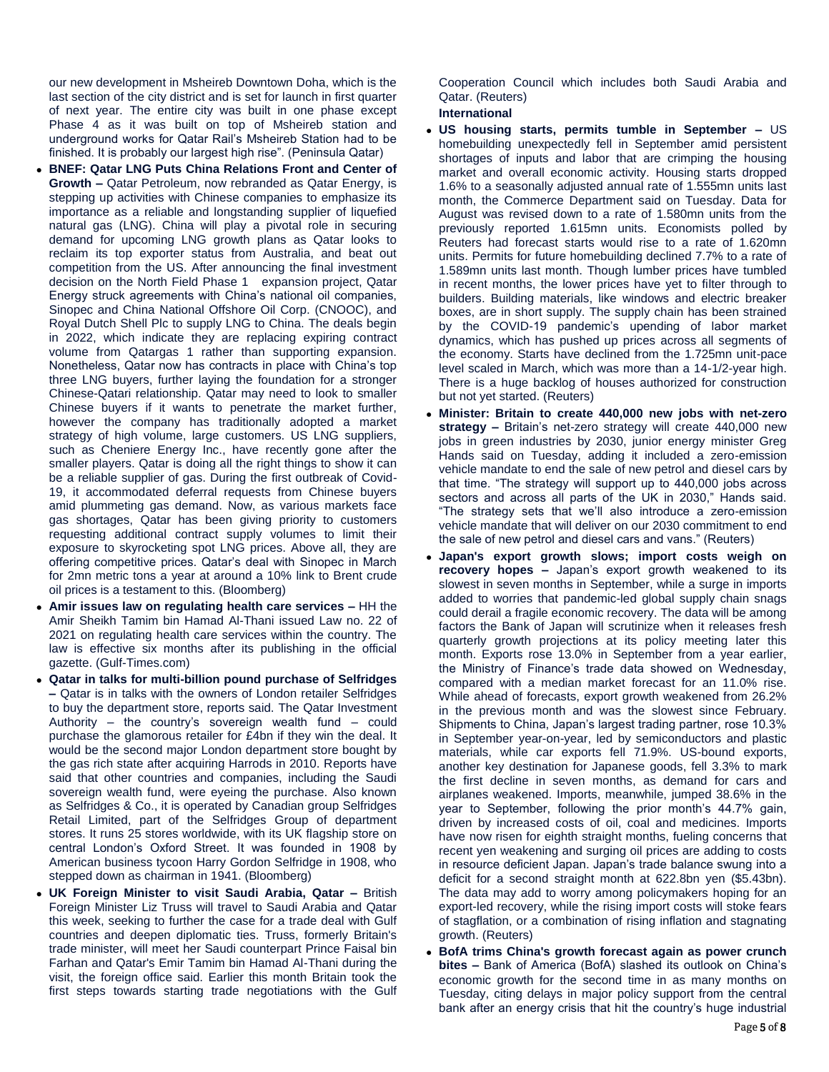our new development in Msheireb Downtown Doha, which is the last section of the city district and is set for launch in first quarter of next year. The entire city was built in one phase except Phase 4 as it was built on top of Msheireb station and underground works for Qatar Rail's Msheireb Station had to be finished. It is probably our largest high rise". (Peninsula Qatar)

- **BNEF: Qatar LNG Puts China Relations Front and Center of Growth –** Qatar Petroleum, now rebranded as Qatar Energy, is stepping up activities with Chinese companies to emphasize its importance as a reliable and longstanding supplier of liquefied natural gas (LNG). China will play a pivotal role in securing demand for upcoming LNG growth plans as Qatar looks to reclaim its top exporter status from Australia, and beat out competition from the US. After announcing the final investment decision on the North Field Phase 1 expansion project, Qatar Energy struck agreements with China's national oil companies, Sinopec and China National Offshore Oil Corp. (CNOOC), and Royal Dutch Shell Plc to supply LNG to China. The deals begin in 2022, which indicate they are replacing expiring contract volume from Qatargas 1 rather than supporting expansion. Nonetheless, Qatar now has contracts in place with China's top three LNG buyers, further laying the foundation for a stronger Chinese-Qatari relationship. Qatar may need to look to smaller Chinese buyers if it wants to penetrate the market further, however the company has traditionally adopted a market strategy of high volume, large customers. US LNG suppliers, such as Cheniere Energy Inc., have recently gone after the smaller players. Qatar is doing all the right things to show it can be a reliable supplier of gas. During the first outbreak of Covid-19, it accommodated deferral requests from Chinese buyers amid plummeting gas demand. Now, as various markets face gas shortages, Qatar has been giving priority to customers requesting additional contract supply volumes to limit their exposure to skyrocketing spot LNG prices. Above all, they are offering competitive prices. Qatar's deal with Sinopec in March for 2mn metric tons a year at around a 10% link to Brent crude oil prices is a testament to this. (Bloomberg)
- **Amir issues law on regulating health care services –** HH the Amir Sheikh Tamim bin Hamad Al-Thani issued Law no. 22 of 2021 on regulating health care services within the country. The law is effective six months after its publishing in the official gazette. (Gulf-Times.com)
- **Qatar in talks for multi-billion pound purchase of Selfridges –** Qatar is in talks with the owners of London retailer Selfridges to buy the department store, reports said. The Qatar Investment Authority – the country's sovereign wealth fund – could purchase the glamorous retailer for £4bn if they win the deal. It would be the second major London department store bought by the gas rich state after acquiring Harrods in 2010. Reports have said that other countries and companies, including the Saudi sovereign wealth fund, were eyeing the purchase. Also known as Selfridges & Co., it is operated by Canadian group Selfridges Retail Limited, part of the Selfridges Group of department stores. It runs 25 stores worldwide, with its UK flagship store on central London's Oxford Street. It was founded in 1908 by American business tycoon Harry Gordon Selfridge in 1908, who stepped down as chairman in 1941. (Bloomberg)
- **UK Foreign Minister to visit Saudi Arabia, Qatar –** British Foreign Minister Liz Truss will travel to Saudi Arabia and Qatar this week, seeking to further the case for a trade deal with Gulf countries and deepen diplomatic ties. Truss, formerly Britain's trade minister, will meet her Saudi counterpart Prince Faisal bin Farhan and Qatar's Emir Tamim bin Hamad Al-Thani during the visit, the foreign office said. Earlier this month Britain took the first steps towards starting trade negotiations with the Gulf

Cooperation Council which includes both Saudi Arabia and Qatar. (Reuters)

**International**

- **US housing starts, permits tumble in September –** US homebuilding unexpectedly fell in September amid persistent shortages of inputs and labor that are crimping the housing market and overall economic activity. Housing starts dropped 1.6% to a seasonally adjusted annual rate of 1.555mn units last month, the Commerce Department said on Tuesday. Data for August was revised down to a rate of 1.580mn units from the previously reported 1.615mn units. Economists polled by Reuters had forecast starts would rise to a rate of 1.620mn units. Permits for future homebuilding declined 7.7% to a rate of 1.589mn units last month. Though lumber prices have tumbled in recent months, the lower prices have yet to filter through to builders. Building materials, like windows and electric breaker boxes, are in short supply. The supply chain has been strained by the COVID-19 pandemic's upending of labor market dynamics, which has pushed up prices across all segments of the economy. Starts have declined from the 1.725mn unit-pace level scaled in March, which was more than a 14-1/2-year high. There is a huge backlog of houses authorized for construction but not yet started. (Reuters)
- **Minister: Britain to create 440,000 new jobs with net-zero strategy –** Britain's net-zero strategy will create 440,000 new jobs in green industries by 2030, junior energy minister Greg Hands said on Tuesday, adding it included a zero-emission vehicle mandate to end the sale of new petrol and diesel cars by that time. "The strategy will support up to 440,000 jobs across sectors and across all parts of the UK in 2030," Hands said. "The strategy sets that we'll also introduce a zero-emission vehicle mandate that will deliver on our 2030 commitment to end the sale of new petrol and diesel cars and vans." (Reuters)
- **Japan's export growth slows; import costs weigh on recovery hopes –** Japan's export growth weakened to its slowest in seven months in September, while a surge in imports added to worries that pandemic-led global supply chain snags could derail a fragile economic recovery. The data will be among factors the Bank of Japan will scrutinize when it releases fresh quarterly growth projections at its policy meeting later this month. Exports rose 13.0% in September from a year earlier, the Ministry of Finance's trade data showed on Wednesday, compared with a median market forecast for an 11.0% rise. While ahead of forecasts, export growth weakened from 26.2% in the previous month and was the slowest since February. Shipments to China, Japan's largest trading partner, rose 10.3% in September year-on-year, led by semiconductors and plastic materials, while car exports fell 71.9%. US-bound exports, another key destination for Japanese goods, fell 3.3% to mark the first decline in seven months, as demand for cars and airplanes weakened. Imports, meanwhile, jumped 38.6% in the year to September, following the prior month's 44.7% gain, driven by increased costs of oil, coal and medicines. Imports have now risen for eighth straight months, fueling concerns that recent yen weakening and surging oil prices are adding to costs in resource deficient Japan. Japan's trade balance swung into a deficit for a second straight month at 622.8bn yen (\$5.43bn). The data may add to worry among policymakers hoping for an export-led recovery, while the rising import costs will stoke fears of stagflation, or a combination of rising inflation and stagnating growth. (Reuters)
- **BofA trims China's growth forecast again as power crunch bites –** Bank of America (BofA) slashed its outlook on China's economic growth for the second time in as many months on Tuesday, citing delays in major policy support from the central bank after an energy crisis that hit the country's huge industrial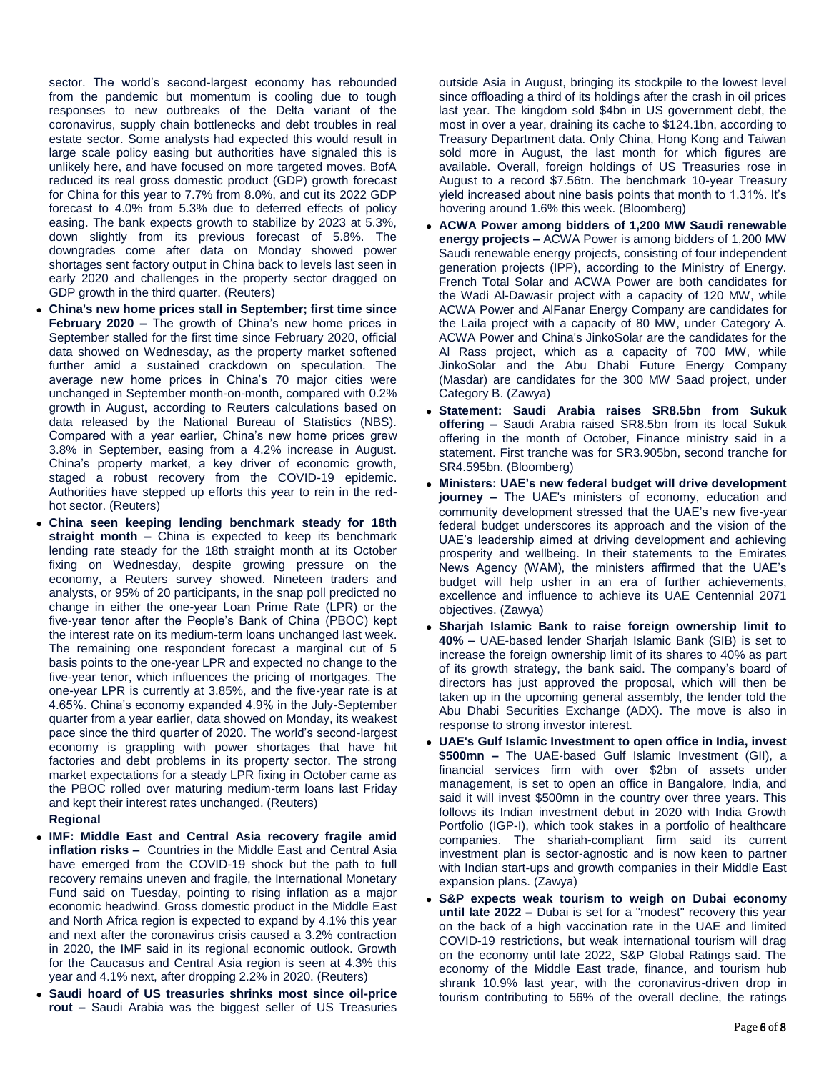sector. The world's second-largest economy has rebounded from the pandemic but momentum is cooling due to tough responses to new outbreaks of the Delta variant of the coronavirus, supply chain bottlenecks and debt troubles in real estate sector. Some analysts had expected this would result in large scale policy easing but authorities have signaled this is unlikely here, and have focused on more targeted moves. BofA reduced its real gross domestic product (GDP) growth forecast for China for this year to 7.7% from 8.0%, and cut its 2022 GDP forecast to 4.0% from 5.3% due to deferred effects of policy easing. The bank expects growth to stabilize by 2023 at 5.3%, down slightly from its previous forecast of 5.8%. The downgrades come after data on Monday showed power shortages sent factory output in China back to levels last seen in early 2020 and challenges in the property sector dragged on GDP growth in the third quarter. (Reuters)

- **China's new home prices stall in September; first time since February 2020 –** The growth of China's new home prices in September stalled for the first time since February 2020, official data showed on Wednesday, as the property market softened further amid a sustained crackdown on speculation. The average new home prices in China's 70 major cities were unchanged in September month-on-month, compared with 0.2% growth in August, according to Reuters calculations based on data released by the National Bureau of Statistics (NBS). Compared with a year earlier, China's new home prices grew 3.8% in September, easing from a 4.2% increase in August. China's property market, a key driver of economic growth, staged a robust recovery from the COVID-19 epidemic. Authorities have stepped up efforts this year to rein in the redhot sector. (Reuters)
- **China seen keeping lending benchmark steady for 18th straight month –** China is expected to keep its benchmark lending rate steady for the 18th straight month at its October fixing on Wednesday, despite growing pressure on the economy, a Reuters survey showed. Nineteen traders and analysts, or 95% of 20 participants, in the snap poll predicted no change in either the one-year Loan Prime Rate (LPR) or the five-year tenor after the People's Bank of China (PBOC) kept the interest rate on its medium-term loans unchanged last week. The remaining one respondent forecast a marginal cut of 5 basis points to the one-year LPR and expected no change to the five-year tenor, which influences the pricing of mortgages. The one-year LPR is currently at 3.85%, and the five-year rate is at 4.65%. China's economy expanded 4.9% in the July-September quarter from a year earlier, data showed on Monday, its weakest pace since the third quarter of 2020. The world's second-largest economy is grappling with power shortages that have hit factories and debt problems in its property sector. The strong market expectations for a steady LPR fixing in October came as the PBOC rolled over maturing medium-term loans last Friday and kept their interest rates unchanged. (Reuters)

#### **Regional**

- **IMF: Middle East and Central Asia recovery fragile amid inflation risks –** Countries in the Middle East and Central Asia have emerged from the COVID-19 shock but the path to full recovery remains uneven and fragile, the International Monetary Fund said on Tuesday, pointing to rising inflation as a major economic headwind. Gross domestic product in the Middle East and North Africa region is expected to expand by 4.1% this year and next after the coronavirus crisis caused a 3.2% contraction in 2020, the IMF said in its regional economic outlook. Growth for the Caucasus and Central Asia region is seen at 4.3% this year and 4.1% next, after dropping 2.2% in 2020. (Reuters)
- **Saudi hoard of US treasuries shrinks most since oil-price rout –** Saudi Arabia was the biggest seller of US Treasuries

outside Asia in August, bringing its stockpile to the lowest level since offloading a third of its holdings after the crash in oil prices last year. The kingdom sold \$4bn in US government debt, the most in over a year, draining its cache to \$124.1bn, according to Treasury Department data. Only China, Hong Kong and Taiwan sold more in August, the last month for which figures are available. Overall, foreign holdings of US Treasuries rose in August to a record \$7.56tn. The benchmark 10-year Treasury yield increased about nine basis points that month to 1.31%. It's hovering around 1.6% this week. (Bloomberg)

- **ACWA Power among bidders of 1,200 MW Saudi renewable energy projects –** ACWA Power is among bidders of 1,200 MW Saudi renewable energy projects, consisting of four independent generation projects (IPP), according to the Ministry of Energy. French Total Solar and ACWA Power are both candidates for the Wadi Al-Dawasir project with a capacity of 120 MW, while ACWA Power and AlFanar Energy Company are candidates for the Laila project with a capacity of 80 MW, under Category A. ACWA Power and China's JinkoSolar are the candidates for the Al Rass project, which as a capacity of 700 MW, while JinkoSolar and the Abu Dhabi Future Energy Company (Masdar) are candidates for the 300 MW Saad project, under Category B. (Zawya)
- **Statement: Saudi Arabia raises SR8.5bn from Sukuk offering –** Saudi Arabia raised SR8.5bn from its local Sukuk offering in the month of October, Finance ministry said in a statement. First tranche was for SR3.905bn, second tranche for SR4.595bn. (Bloomberg)
- **Ministers: UAE's new federal budget will drive development journey –** The UAE's ministers of economy, education and community development stressed that the UAE's new five-year federal budget underscores its approach and the vision of the UAE's leadership aimed at driving development and achieving prosperity and wellbeing. In their statements to the Emirates News Agency (WAM), the ministers affirmed that the UAE's budget will help usher in an era of further achievements, excellence and influence to achieve its UAE Centennial 2071 objectives. (Zawya)
- **Sharjah Islamic Bank to raise foreign ownership limit to 40% –** UAE-based lender Sharjah Islamic Bank (SIB) is set to increase the foreign ownership limit of its shares to 40% as part of its growth strategy, the bank said. The company's board of directors has just approved the proposal, which will then be taken up in the upcoming general assembly, the lender told the Abu Dhabi Securities Exchange (ADX). The move is also in response to strong investor interest.
- **UAE's Gulf Islamic Investment to open office in India, invest \$500mn –** The UAE-based Gulf Islamic Investment (GII), a financial services firm with over \$2bn of assets under management, is set to open an office in Bangalore, India, and said it will invest \$500mn in the country over three years. This follows its Indian investment debut in 2020 with India Growth Portfolio (IGP-I), which took stakes in a portfolio of healthcare companies. The shariah-compliant firm said its current investment plan is sector-agnostic and is now keen to partner with Indian start-ups and growth companies in their Middle East expansion plans. (Zawya)
- **S&P expects weak tourism to weigh on Dubai economy until late 2022 –** Dubai is set for a "modest" recovery this year on the back of a high vaccination rate in the UAE and limited COVID-19 restrictions, but weak international tourism will drag on the economy until late 2022, S&P Global Ratings said. The economy of the Middle East trade, finance, and tourism hub shrank 10.9% last year, with the coronavirus-driven drop in tourism contributing to 56% of the overall decline, the ratings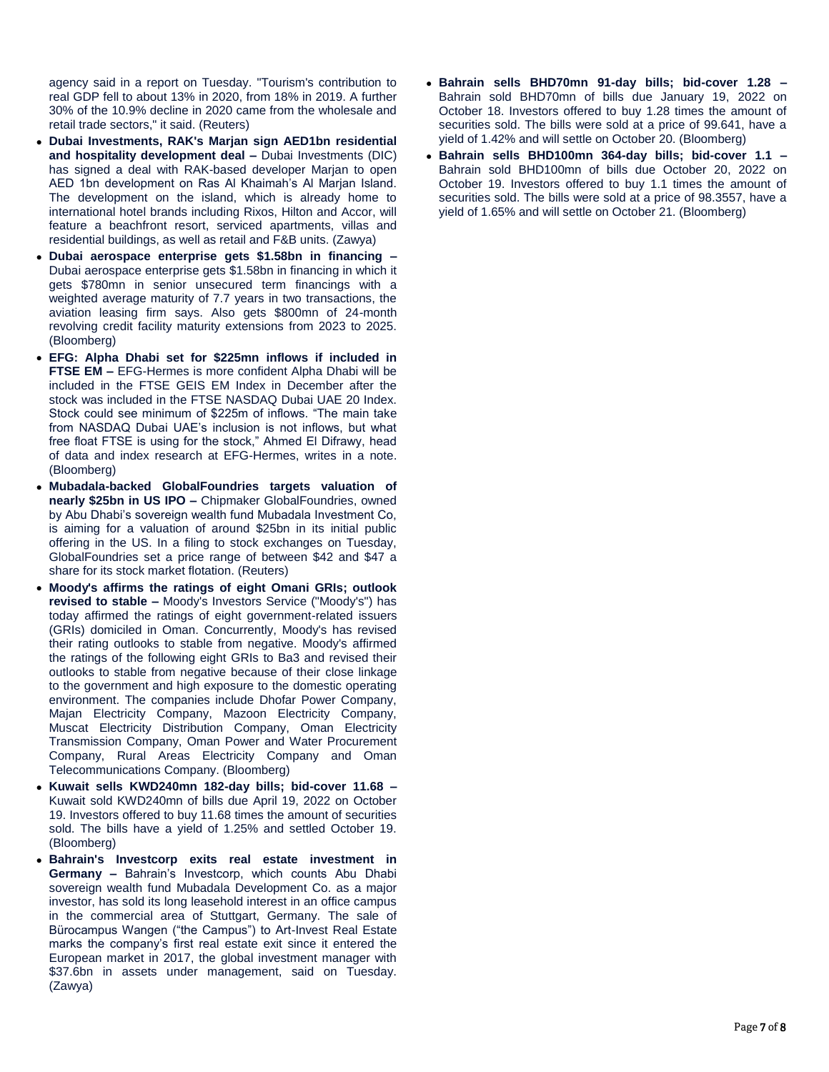agency said in a report on Tuesday. "Tourism's contribution to real GDP fell to about 13% in 2020, from 18% in 2019. A further 30% of the 10.9% decline in 2020 came from the wholesale and retail trade sectors," it said. (Reuters)

- **Dubai Investments, RAK's Marjan sign AED1bn residential and hospitality development deal –** Dubai Investments (DIC) has signed a deal with RAK-based developer Marjan to open AED 1bn development on Ras Al Khaimah's Al Marjan Island. The development on the island, which is already home to international hotel brands including Rixos, Hilton and Accor, will feature a beachfront resort, serviced apartments, villas and residential buildings, as well as retail and F&B units. (Zawya)
- **Dubai aerospace enterprise gets \$1.58bn in financing –** Dubai aerospace enterprise gets \$1.58bn in financing in which it gets \$780mn in senior unsecured term financings with a weighted average maturity of 7.7 years in two transactions, the aviation leasing firm says. Also gets \$800mn of 24-month revolving credit facility maturity extensions from 2023 to 2025. (Bloomberg)
- **EFG: Alpha Dhabi set for \$225mn inflows if included in FTSE EM –** EFG-Hermes is more confident Alpha Dhabi will be included in the FTSE GEIS EM Index in December after the stock was included in the FTSE NASDAQ Dubai UAE 20 Index. Stock could see minimum of \$225m of inflows. "The main take from NASDAQ Dubai UAE's inclusion is not inflows, but what free float FTSE is using for the stock," Ahmed El Difrawy, head of data and index research at EFG-Hermes, writes in a note. (Bloomberg)
- **Mubadala-backed GlobalFoundries targets valuation of nearly \$25bn in US IPO –** Chipmaker GlobalFoundries, owned by Abu Dhabi's sovereign wealth fund Mubadala Investment Co, is aiming for a valuation of around \$25bn in its initial public offering in the US. In a filing to stock exchanges on Tuesday, GlobalFoundries set a price range of between \$42 and \$47 a share for its stock market flotation. (Reuters)
- **Moody's affirms the ratings of eight Omani GRIs; outlook revised to stable –** Moody's Investors Service ("Moody's") has today affirmed the ratings of eight government-related issuers (GRIs) domiciled in Oman. Concurrently, Moody's has revised their rating outlooks to stable from negative. Moody's affirmed the ratings of the following eight GRIs to Ba3 and revised their outlooks to stable from negative because of their close linkage to the government and high exposure to the domestic operating environment. The companies include Dhofar Power Company, Majan Electricity Company, Mazoon Electricity Company, Muscat Electricity Distribution Company, Oman Electricity Transmission Company, Oman Power and Water Procurement Company, Rural Areas Electricity Company and Oman Telecommunications Company. (Bloomberg)
- **Kuwait sells KWD240mn 182-day bills; bid-cover 11.68 –** Kuwait sold KWD240mn of bills due April 19, 2022 on October 19. Investors offered to buy 11.68 times the amount of securities sold. The bills have a yield of 1.25% and settled October 19. (Bloomberg)
- **Bahrain's Investcorp exits real estate investment in Germany –** Bahrain's Investcorp, which counts Abu Dhabi sovereign wealth fund Mubadala Development Co. as a major investor, has sold its long leasehold interest in an office campus in the commercial area of Stuttgart, Germany. The sale of Bürocampus Wangen ("the Campus") to Art-Invest Real Estate marks the company's first real estate exit since it entered the European market in 2017, the global investment manager with \$37.6bn in assets under management, said on Tuesday. (Zawya)
- **Bahrain sells BHD70mn 91-day bills; bid-cover 1.28 –** Bahrain sold BHD70mn of bills due January 19, 2022 on October 18. Investors offered to buy 1.28 times the amount of securities sold. The bills were sold at a price of 99.641, have a yield of 1.42% and will settle on October 20. (Bloomberg)
- **Bahrain sells BHD100mn 364-day bills; bid-cover 1.1 –** Bahrain sold BHD100mn of bills due October 20, 2022 on October 19. Investors offered to buy 1.1 times the amount of securities sold. The bills were sold at a price of 98.3557, have a yield of 1.65% and will settle on October 21. (Bloomberg)